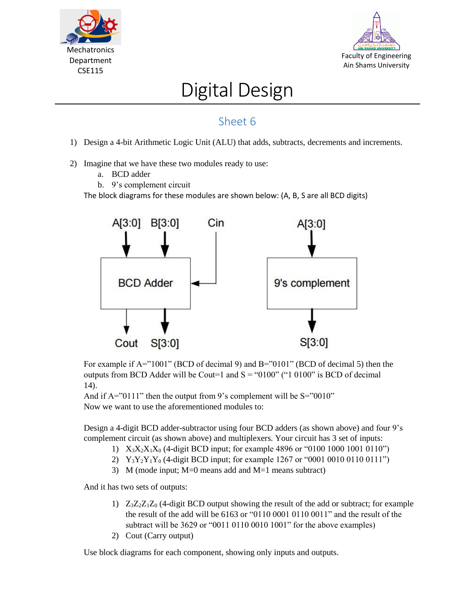



## Digital Design

## Sheet 6

- 1) Design a 4-bit Arithmetic Logic Unit (ALU) that adds, subtracts, decrements and increments.
- 2) Imagine that we have these two modules ready to use:
	- a. BCD adder
	- b. 9's complement circuit

The block diagrams for these modules are shown below: (A, B, S are all BCD digits)



For example if  $A = 1001$ " (BCD of decimal 9) and  $B = 0101$ " (BCD of decimal 5) then the outputs from BCD Adder will be Cout=1 and  $S = "0100" ("1 0100" is BCD of decimal$ 14).

And if  $A = "0111"$  then the output from 9's complement will be  $S = "0010"$ Now we want to use the aforementioned modules to:

Design a 4-digit BCD adder-subtractor using four BCD adders (as shown above) and four 9's complement circuit (as shown above) and multiplexers. Your circuit has 3 set of inputs:

- 1)  $X_3X_2X_1X_0$  (4-digit BCD input; for example 4896 or "0100 1000 1001 0110")
- 2)  $Y_3Y_2Y_1Y_0$  (4-digit BCD input; for example 1267 or "0001 0010 0110 0111")
- 3) M (mode input; M=0 means add and M=1 means subtract)

And it has two sets of outputs:

- 1)  $Z_3Z_2Z_1Z_0$  (4-digit BCD output showing the result of the add or subtract; for example the result of the add will be 6163 or "0110 0001 0110 0011" and the result of the subtract will be 3629 or "0011 0110 0010 1001" for the above examples)
- 2) Cout (Carry output)

Use block diagrams for each component, showing only inputs and outputs.